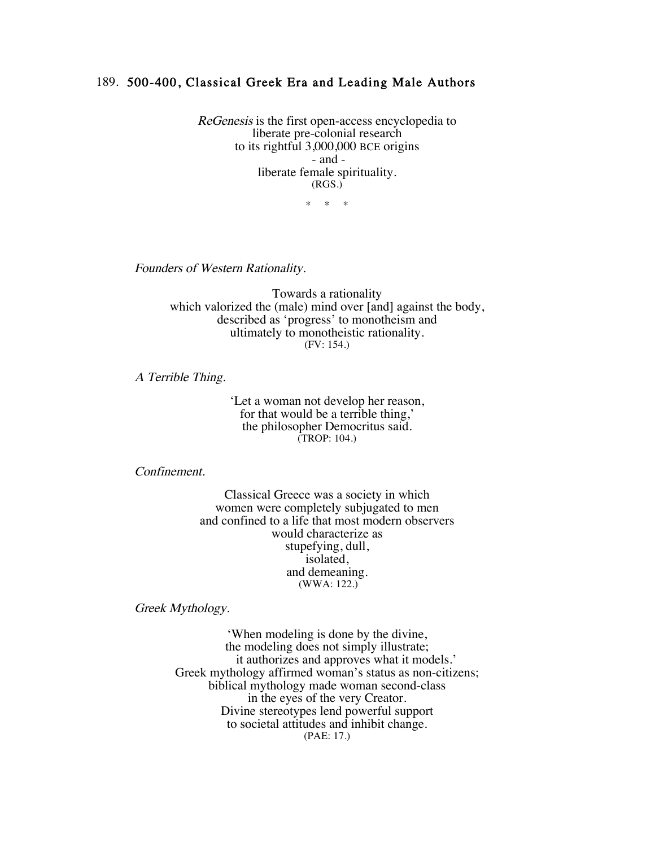## 189. 500-400, Classical Greek Era and Leading Male Authors

ReGenesis is the first open-access encyclopedia to liberate pre-colonial research to its rightful 3,000,000 BCE origins - and liberate female spirituality. (RGS.)

\* \* \*

Founders of Western Rationality.

Towards a rationality which valorized the (male) mind over [and] against the body, described as 'progress' to monotheism and ultimately to monotheistic rationality. (FV: 154.)

A Terrible Thing.

'Let a woman not develop her reason, for that would be a terrible thing,' the philosopher Democritus said. (TROP: 104.)

Confinement.

Classical Greece was a society in which women were completely subjugated to men and confined to a life that most modern observers would characterize as stupefying, dull, isolated, and demeaning. (WWA: 122.)

Greek Mythology.

'When modeling is done by the divine, the modeling does not simply illustrate; it authorizes and approves what it models.' Greek mythology affirmed woman's status as non-citizens; biblical mythology made woman second-class in the eyes of the very Creator. Divine stereotypes lend powerful support to societal attitudes and inhibit change. (PAE: 17.)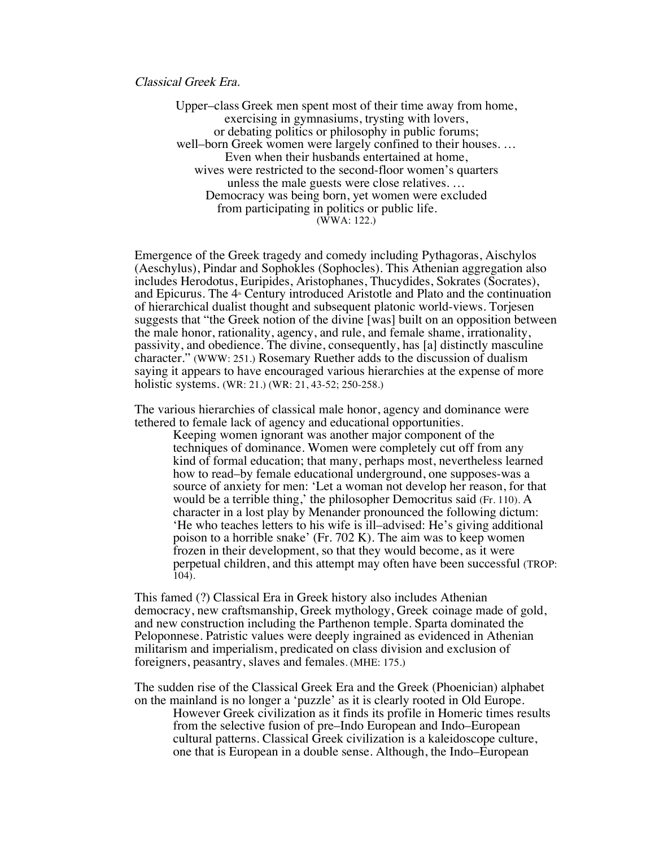Classical Greek Era.

Upper–class Greek men spent most of their time away from home, exercising in gymnasiums, trysting with lovers, or debating politics or philosophy in public forums; well–born Greek women were largely confined to their houses. … Even when their husbands entertained at home, wives were restricted to the second-floor women's quarters unless the male guests were close relatives. … Democracy was being born, yet women were excluded from participating in politics or public life. (WWA: 122.)

Emergence of the Greek tragedy and comedy including Pythagoras, Aischylos (Aeschylus), Pindar and Sophokles (Sophocles). This Athenian aggregation also includes Herodotus, Euripides, Aristophanes, Thucydides, Sokrates (Socrates), and Epicurus. The 4<sup>th</sup> Century introduced Aristotle and Plato and the continuation of hierarchical dualist thought and subsequent platonic world-views. Torjesen suggests that "the Greek notion of the divine [was] built on an opposition between the male honor, rationality, agency, and rule, and female shame, irrationality, passivity, and obedience. The divine, consequently, has [a] distinctly masculine character." (WWW: 251.) Rosemary Ruether adds to the discussion of dualism saying it appears to have encouraged various hierarchies at the expense of more holistic systems. (WR: 21.) (WR: 21, 43-52; 250-258.)

The various hierarchies of classical male honor, agency and dominance were tethered to female lack of agency and educational opportunities.

Keeping women ignorant was another major component of the techniques of dominance. Women were completely cut off from any kind of formal education; that many, perhaps most, nevertheless learned how to read–by female educational underground, one supposes-was a source of anxiety for men: 'Let a woman not develop her reason, for that would be a terrible thing,' the philosopher Democritus said (Fr. 110). A character in a lost play by Menander pronounced the following dictum: 'He who teaches letters to his wife is ill–advised: He's giving additional poison to a horrible snake' (Fr. 702 K). The aim was to keep women frozen in their development, so that they would become, as it were perpetual children, and this attempt may often have been successful (TROP: 104).

This famed (?) Classical Era in Greek history also includes Athenian democracy, new craftsmanship, Greek mythology, Greek coinage made of gold, and new construction including the Parthenon temple. Sparta dominated the Peloponnese. Patristic values were deeply ingrained as evidenced in Athenian militarism and imperialism, predicated on class division and exclusion of foreigners, peasantry, slaves and females. (MHE: 175.)

The sudden rise of the Classical Greek Era and the Greek (Phoenician) alphabet on the mainland is no longer a 'puzzle' as it is clearly rooted in Old Europe.

However Greek civilization as it finds its profile in Homeric times results from the selective fusion of pre–Indo European and Indo–European cultural patterns. Classical Greek civilization is a kaleidoscope culture, one that is European in a double sense. Although, the Indo–European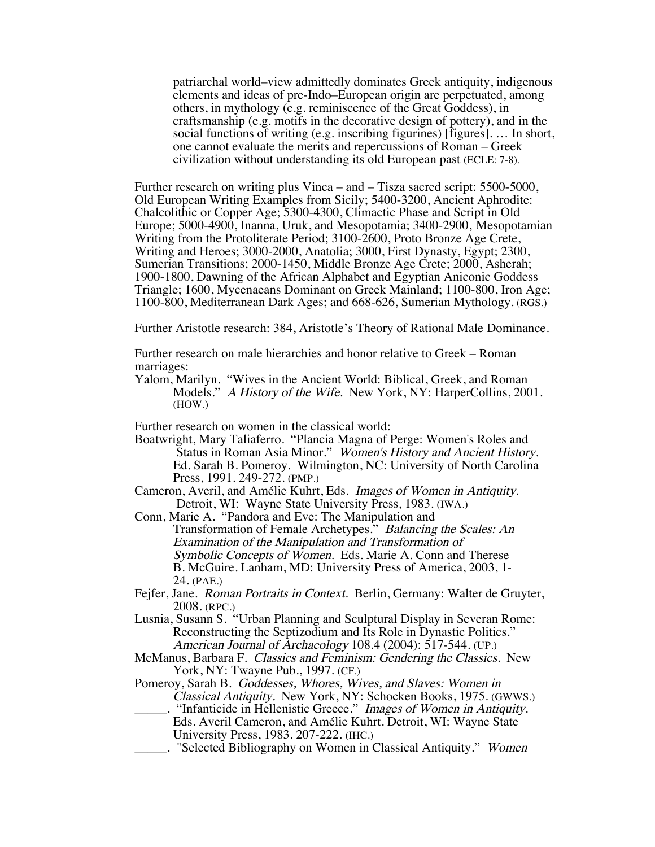patriarchal world–view admittedly dominates Greek antiquity, indigenous elements and ideas of pre-Indo–European origin are perpetuated, among others, in mythology (e.g. reminiscence of the Great Goddess), in craftsmanship (e.g. motifs in the decorative design of pottery), and in the social functions of writing (e.g. inscribing figurines) [figures]. … In short, one cannot evaluate the merits and repercussions of Roman – Greek civilization without understanding its old European past (ECLE: 7-8).

Further research on writing plus Vinca – and – Tisza sacred script: 5500-5000, Old European Writing Examples from Sicily; 5400-3200, Ancient Aphrodite: Chalcolithic or Copper Age; 5300-4300, Climactic Phase and Script in Old Europe; 5000-4900, Inanna, Uruk, and Mesopotamia; 3400-2900, Mesopotamian Writing from the Protoliterate Period; 3100-2600, Proto Bronze Age Crete, Writing and Heroes; 3000-2000, Anatolia; 3000, First Dynasty, Egypt; 2300, Sumerian Transitions; 2000-1450, Middle Bronze Age Crete; 2000, Asherah; 1900-1800, Dawning of the African Alphabet and Egyptian Aniconic Goddess Triangle; 1600, Mycenaeans Dominant on Greek Mainland; 1100-800, Iron Age; 1100-800, Mediterranean Dark Ages; and 668-626, Sumerian Mythology. (RGS.)

Further Aristotle research: 384, Aristotle's Theory of Rational Male Dominance.

Further research on male hierarchies and honor relative to Greek – Roman marriages:

Yalom, Marilyn. "Wives in the Ancient World: Biblical, Greek, and Roman Models." A History of the Wife. New York, NY: HarperCollins, 2001. (HOW.)

Further research on women in the classical world:

- Boatwright, Mary Taliaferro. "Plancia Magna of Perge: Women's Roles and Status in Roman Asia Minor." Women's History and Ancient History. Ed. Sarah B. Pomeroy. Wilmington, NC: University of North Carolina Press, 1991. 249-272. (PMP.)
- Cameron, Averil, and Amélie Kuhrt, Eds. Images of Women in Antiquity. Detroit, WI: Wayne State University Press, 1983. (IWA.)
- Conn, Marie A. "Pandora and Eve: The Manipulation and Transformation of Female Archetypes." Balancing the Scales: An Examination of the Manipulation and Transformation of Symbolic Concepts of Women. Eds. Marie A. Conn and Therese B. McGuire. Lanham, MD: University Press of America, 2003, 1- 24. (PAE.)
- Fejfer, Jane. Roman Portraits in Context. Berlin, Germany: Walter de Gruyter, 2008. (RPC.)
- Lusnia, Susann S. "Urban Planning and Sculptural Display in Severan Rome: Reconstructing the Septizodium and Its Role in Dynastic Politics." American Journal of Archaeology 108.4 (2004): 517-544. (UP.)
- McManus, Barbara F. Classics and Feminism: Gendering the Classics. New York, NY: Twayne Pub., 1997. (CF.)
- Pomeroy, Sarah B. Goddesses, Whores, Wives, and Slaves: Women in Classical Antiquity. New York, NY: Schocken Books, 1975. (GWWS.) "Infanticide in Hellenistic Greece." Images of Women in Antiquity.
	- Eds. Averil Cameron, and Amélie Kuhrt. Detroit, WI: Wayne State University Press, 1983. 207-222. (IHC.)
	- . "Selected Bibliography on Women in Classical Antiquity." Women